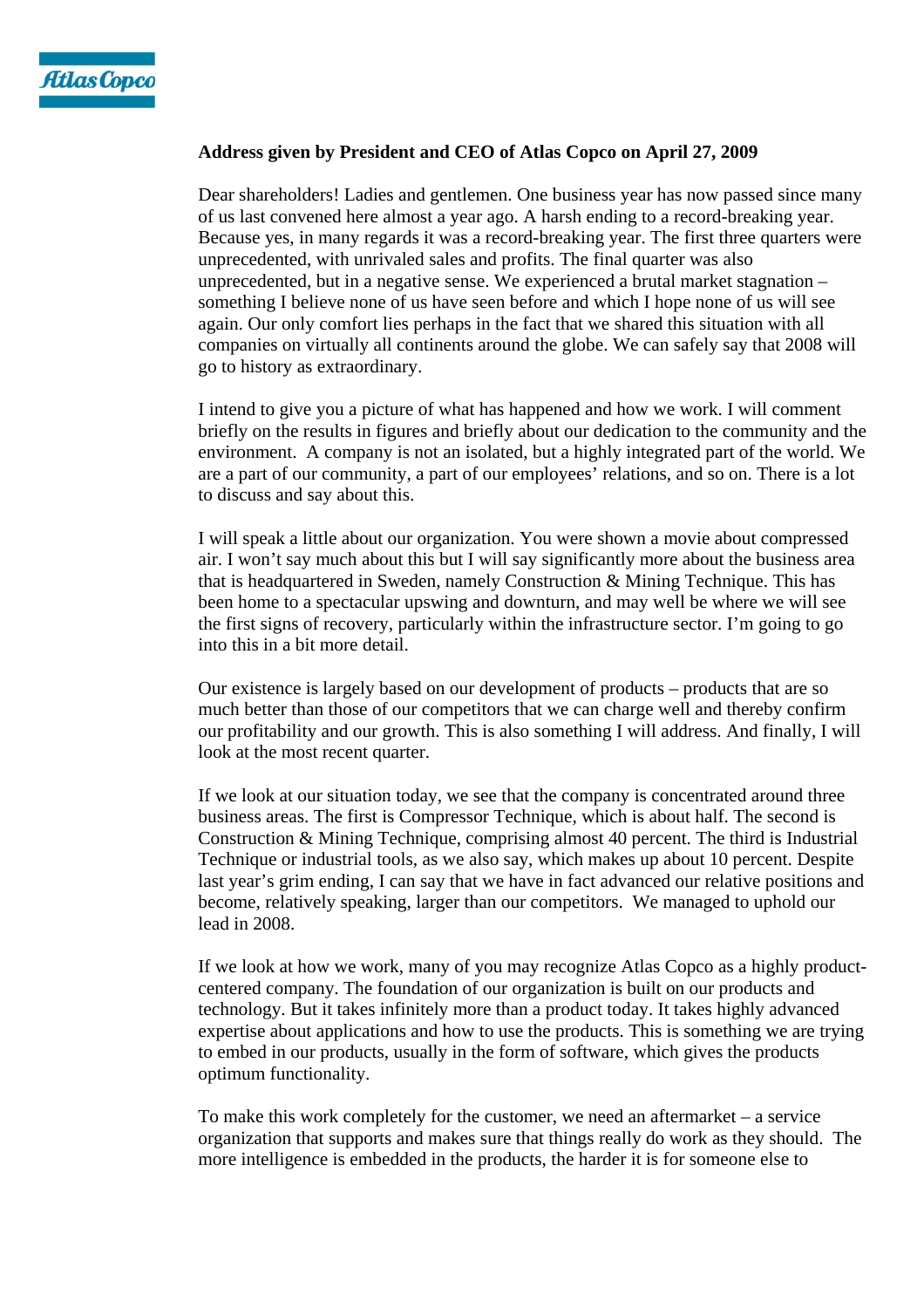

## **Address given by President and CEO of Atlas Copco on April 27, 2009**

Dear shareholders! Ladies and gentlemen. One business year has now passed since many of us last convened here almost a year ago. A harsh ending to a record-breaking year. Because yes, in many regards it was a record-breaking year. The first three quarters were unprecedented, with unrivaled sales and profits. The final quarter was also unprecedented, but in a negative sense. We experienced a brutal market stagnation – something I believe none of us have seen before and which I hope none of us will see again. Our only comfort lies perhaps in the fact that we shared this situation with all companies on virtually all continents around the globe. We can safely say that 2008 will go to history as extraordinary.

I intend to give you a picture of what has happened and how we work. I will comment briefly on the results in figures and briefly about our dedication to the community and the environment. A company is not an isolated, but a highly integrated part of the world. We are a part of our community, a part of our employees' relations, and so on. There is a lot to discuss and say about this.

I will speak a little about our organization. You were shown a movie about compressed air. I won't say much about this but I will say significantly more about the business area that is headquartered in Sweden, namely Construction & Mining Technique. This has been home to a spectacular upswing and downturn, and may well be where we will see the first signs of recovery, particularly within the infrastructure sector. I'm going to go into this in a bit more detail.

Our existence is largely based on our development of products – products that are so much better than those of our competitors that we can charge well and thereby confirm our profitability and our growth. This is also something I will address. And finally, I will look at the most recent quarter.

If we look at our situation today, we see that the company is concentrated around three business areas. The first is Compressor Technique, which is about half. The second is Construction & Mining Technique, comprising almost 40 percent. The third is Industrial Technique or industrial tools, as we also say, which makes up about 10 percent. Despite last year's grim ending, I can say that we have in fact advanced our relative positions and become, relatively speaking, larger than our competitors. We managed to uphold our lead in 2008.

If we look at how we work, many of you may recognize Atlas Copco as a highly productcentered company. The foundation of our organization is built on our products and technology. But it takes infinitely more than a product today. It takes highly advanced expertise about applications and how to use the products. This is something we are trying to embed in our products, usually in the form of software, which gives the products optimum functionality.

To make this work completely for the customer, we need an aftermarket – a service organization that supports and makes sure that things really do work as they should. The more intelligence is embedded in the products, the harder it is for someone else to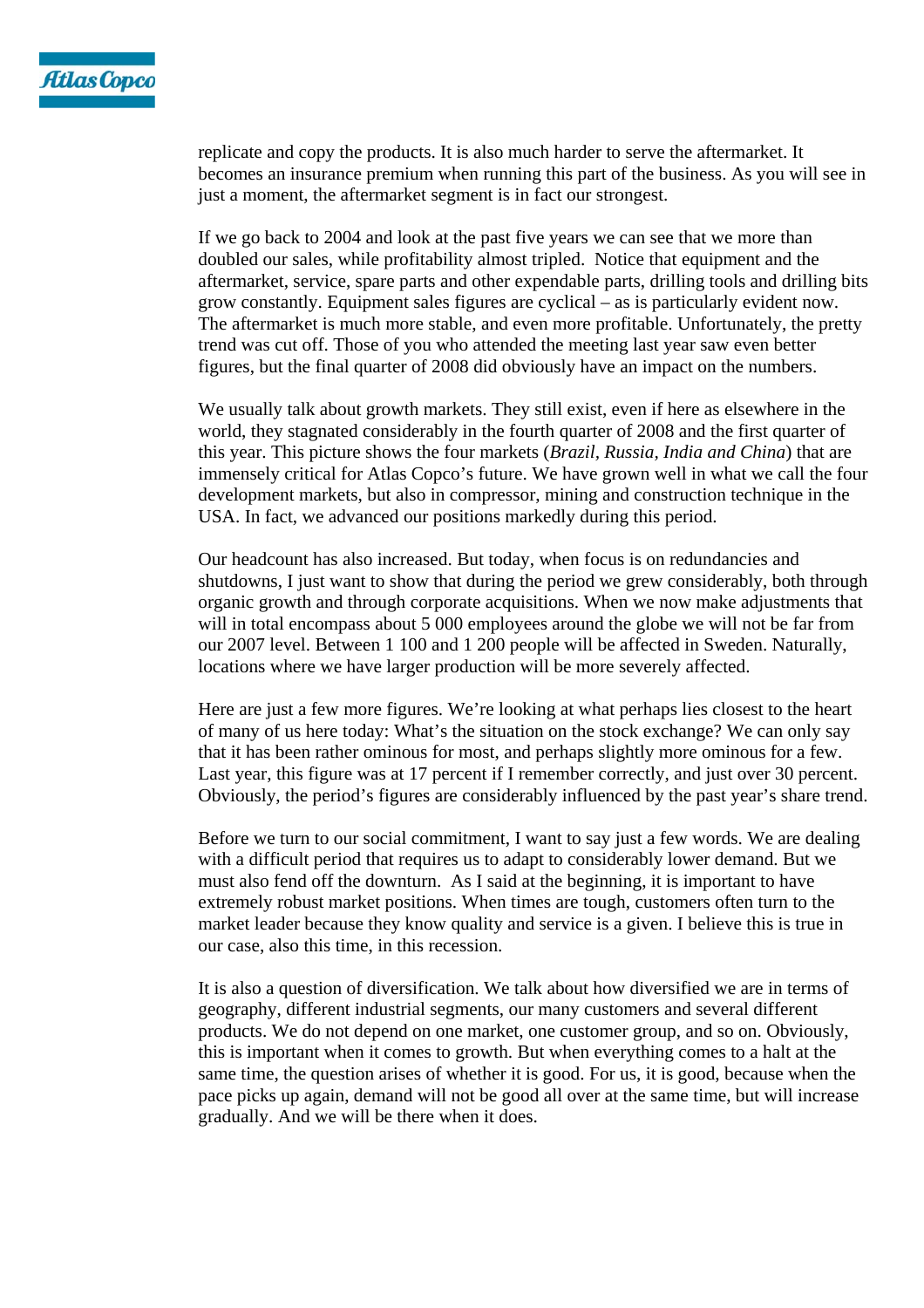

replicate and copy the products. It is also much harder to serve the aftermarket. It becomes an insurance premium when running this part of the business. As you will see in just a moment, the aftermarket segment is in fact our strongest.

If we go back to 2004 and look at the past five years we can see that we more than doubled our sales, while profitability almost tripled. Notice that equipment and the aftermarket, service, spare parts and other expendable parts, drilling tools and drilling bits grow constantly. Equipment sales figures are cyclical – as is particularly evident now. The aftermarket is much more stable, and even more profitable. Unfortunately, the pretty trend was cut off. Those of you who attended the meeting last year saw even better figures, but the final quarter of 2008 did obviously have an impact on the numbers.

We usually talk about growth markets. They still exist, even if here as elsewhere in the world, they stagnated considerably in the fourth quarter of 2008 and the first quarter of this year. This picture shows the four markets (*Brazil, Russia, India and China*) that are immensely critical for Atlas Copco's future. We have grown well in what we call the four development markets, but also in compressor, mining and construction technique in the USA. In fact, we advanced our positions markedly during this period.

Our headcount has also increased. But today, when focus is on redundancies and shutdowns, I just want to show that during the period we grew considerably, both through organic growth and through corporate acquisitions. When we now make adjustments that will in total encompass about 5 000 employees around the globe we will not be far from our 2007 level. Between 1 100 and 1 200 people will be affected in Sweden. Naturally, locations where we have larger production will be more severely affected.

Here are just a few more figures. We're looking at what perhaps lies closest to the heart of many of us here today: What's the situation on the stock exchange? We can only say that it has been rather ominous for most, and perhaps slightly more ominous for a few. Last year, this figure was at 17 percent if I remember correctly, and just over 30 percent. Obviously, the period's figures are considerably influenced by the past year's share trend.

Before we turn to our social commitment, I want to say just a few words. We are dealing with a difficult period that requires us to adapt to considerably lower demand. But we must also fend off the downturn. As I said at the beginning, it is important to have extremely robust market positions. When times are tough, customers often turn to the market leader because they know quality and service is a given. I believe this is true in our case, also this time, in this recession.

It is also a question of diversification. We talk about how diversified we are in terms of geography, different industrial segments, our many customers and several different products. We do not depend on one market, one customer group, and so on. Obviously, this is important when it comes to growth. But when everything comes to a halt at the same time, the question arises of whether it is good. For us, it is good, because when the pace picks up again, demand will not be good all over at the same time, but will increase gradually. And we will be there when it does.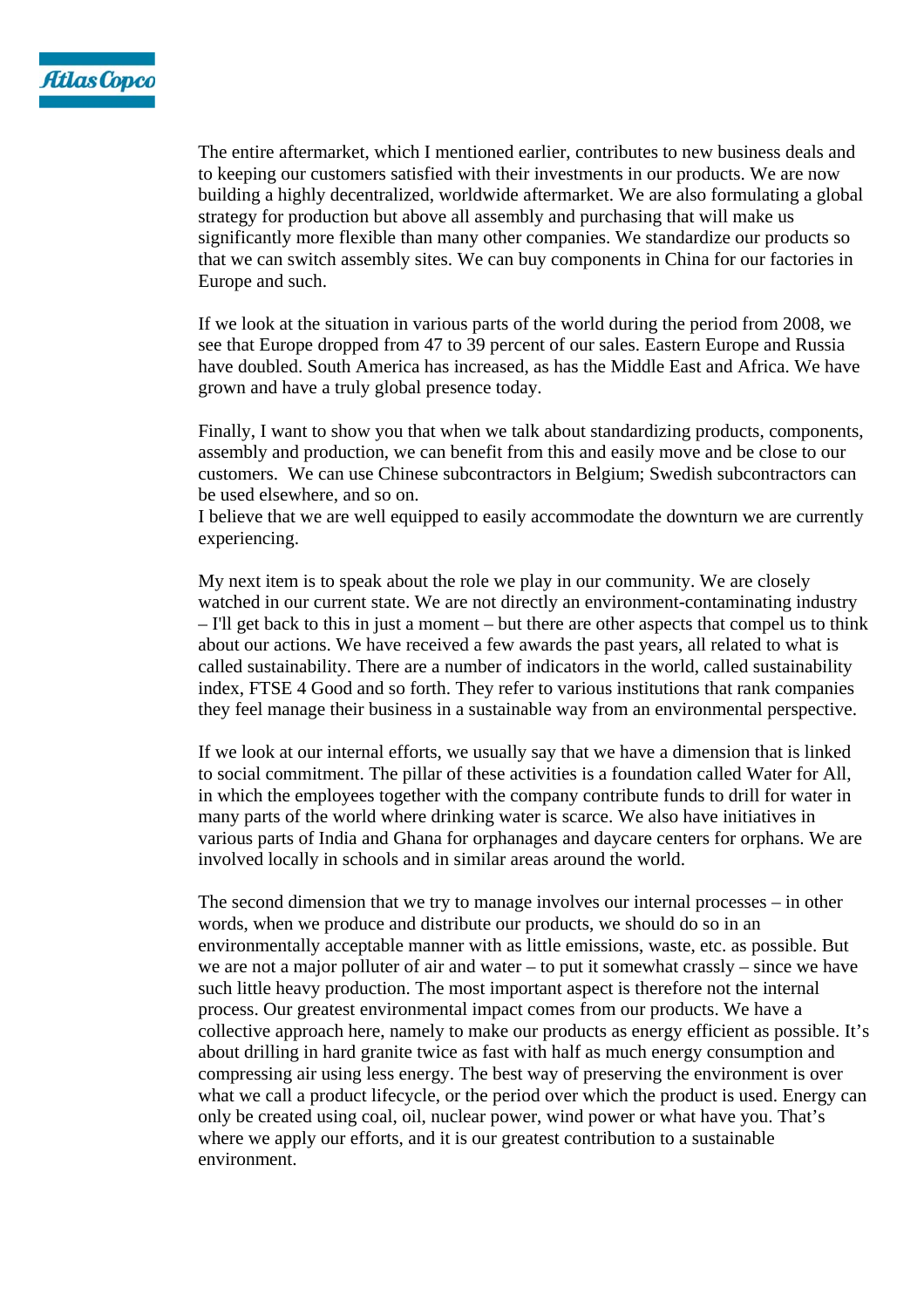

The entire aftermarket, which I mentioned earlier, contributes to new business deals and to keeping our customers satisfied with their investments in our products. We are now building a highly decentralized, worldwide aftermarket. We are also formulating a global strategy for production but above all assembly and purchasing that will make us significantly more flexible than many other companies. We standardize our products so that we can switch assembly sites. We can buy components in China for our factories in Europe and such.

If we look at the situation in various parts of the world during the period from 2008, we see that Europe dropped from 47 to 39 percent of our sales. Eastern Europe and Russia have doubled. South America has increased, as has the Middle East and Africa. We have grown and have a truly global presence today.

Finally, I want to show you that when we talk about standardizing products, components, assembly and production, we can benefit from this and easily move and be close to our customers. We can use Chinese subcontractors in Belgium; Swedish subcontractors can be used elsewhere, and so on.

I believe that we are well equipped to easily accommodate the downturn we are currently experiencing.

My next item is to speak about the role we play in our community. We are closely watched in our current state. We are not directly an environment-contaminating industry – I'll get back to this in just a moment – but there are other aspects that compel us to think about our actions. We have received a few awards the past years, all related to what is called sustainability. There are a number of indicators in the world, called sustainability index, FTSE 4 Good and so forth. They refer to various institutions that rank companies they feel manage their business in a sustainable way from an environmental perspective.

If we look at our internal efforts, we usually say that we have a dimension that is linked to social commitment. The pillar of these activities is a foundation called Water for All, in which the employees together with the company contribute funds to drill for water in many parts of the world where drinking water is scarce. We also have initiatives in various parts of India and Ghana for orphanages and daycare centers for orphans. We are involved locally in schools and in similar areas around the world.

The second dimension that we try to manage involves our internal processes – in other words, when we produce and distribute our products, we should do so in an environmentally acceptable manner with as little emissions, waste, etc. as possible. But we are not a major polluter of air and water – to put it somewhat crassly – since we have such little heavy production. The most important aspect is therefore not the internal process. Our greatest environmental impact comes from our products. We have a collective approach here, namely to make our products as energy efficient as possible. It's about drilling in hard granite twice as fast with half as much energy consumption and compressing air using less energy. The best way of preserving the environment is over what we call a product lifecycle, or the period over which the product is used. Energy can only be created using coal, oil, nuclear power, wind power or what have you. That's where we apply our efforts, and it is our greatest contribution to a sustainable environment.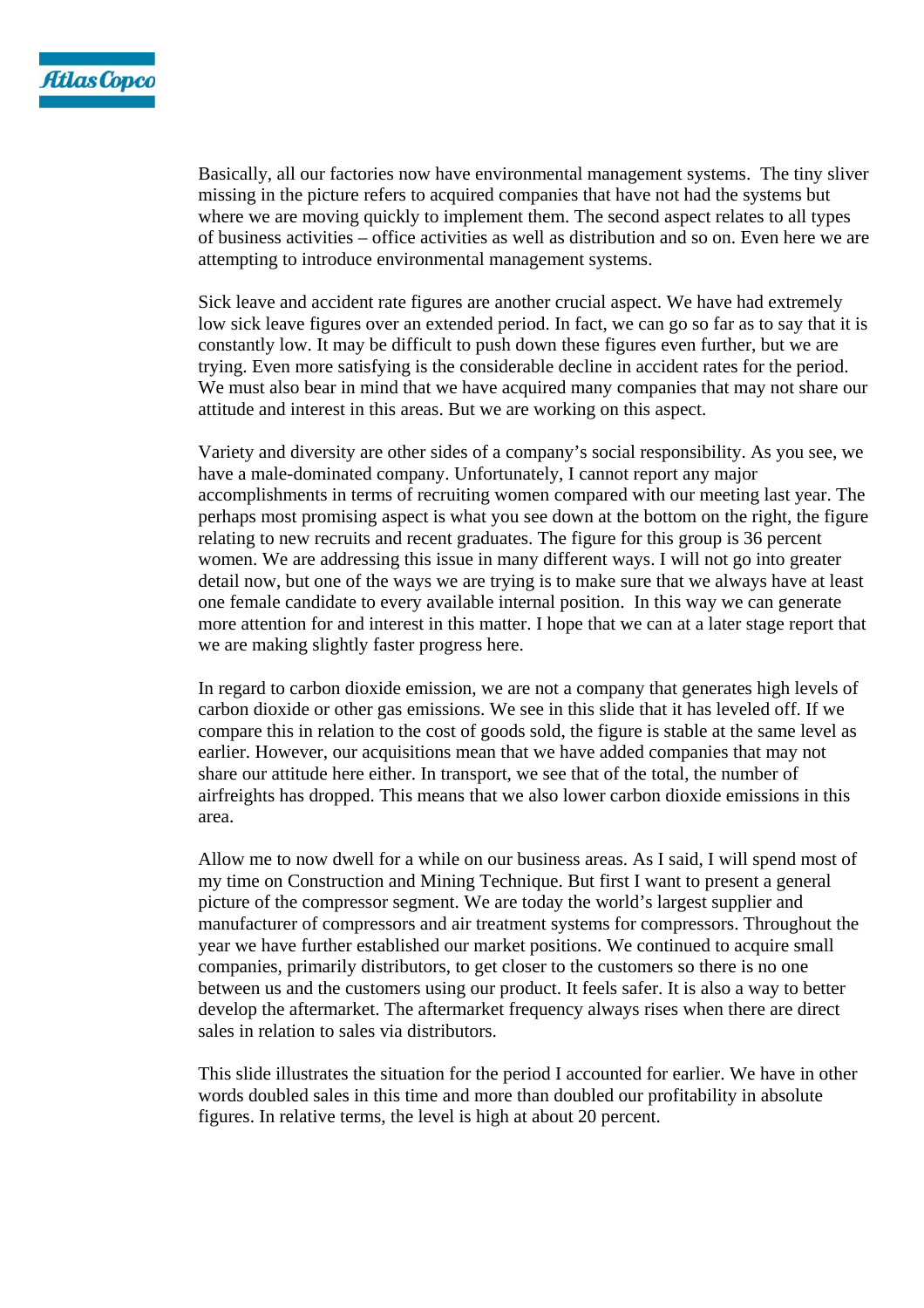

Basically, all our factories now have environmental management systems. The tiny sliver missing in the picture refers to acquired companies that have not had the systems but where we are moving quickly to implement them. The second aspect relates to all types of business activities – office activities as well as distribution and so on. Even here we are attempting to introduce environmental management systems.

Sick leave and accident rate figures are another crucial aspect. We have had extremely low sick leave figures over an extended period. In fact, we can go so far as to say that it is constantly low. It may be difficult to push down these figures even further, but we are trying. Even more satisfying is the considerable decline in accident rates for the period. We must also bear in mind that we have acquired many companies that may not share our attitude and interest in this areas. But we are working on this aspect.

Variety and diversity are other sides of a company's social responsibility. As you see, we have a male-dominated company. Unfortunately, I cannot report any major accomplishments in terms of recruiting women compared with our meeting last year. The perhaps most promising aspect is what you see down at the bottom on the right, the figure relating to new recruits and recent graduates. The figure for this group is 36 percent women. We are addressing this issue in many different ways. I will not go into greater detail now, but one of the ways we are trying is to make sure that we always have at least one female candidate to every available internal position. In this way we can generate more attention for and interest in this matter. I hope that we can at a later stage report that we are making slightly faster progress here.

In regard to carbon dioxide emission, we are not a company that generates high levels of carbon dioxide or other gas emissions. We see in this slide that it has leveled off. If we compare this in relation to the cost of goods sold, the figure is stable at the same level as earlier. However, our acquisitions mean that we have added companies that may not share our attitude here either. In transport, we see that of the total, the number of airfreights has dropped. This means that we also lower carbon dioxide emissions in this area.

Allow me to now dwell for a while on our business areas. As I said, I will spend most of my time on Construction and Mining Technique. But first I want to present a general picture of the compressor segment. We are today the world's largest supplier and manufacturer of compressors and air treatment systems for compressors. Throughout the year we have further established our market positions. We continued to acquire small companies, primarily distributors, to get closer to the customers so there is no one between us and the customers using our product. It feels safer. It is also a way to better develop the aftermarket. The aftermarket frequency always rises when there are direct sales in relation to sales via distributors.

This slide illustrates the situation for the period I accounted for earlier. We have in other words doubled sales in this time and more than doubled our profitability in absolute figures. In relative terms, the level is high at about 20 percent.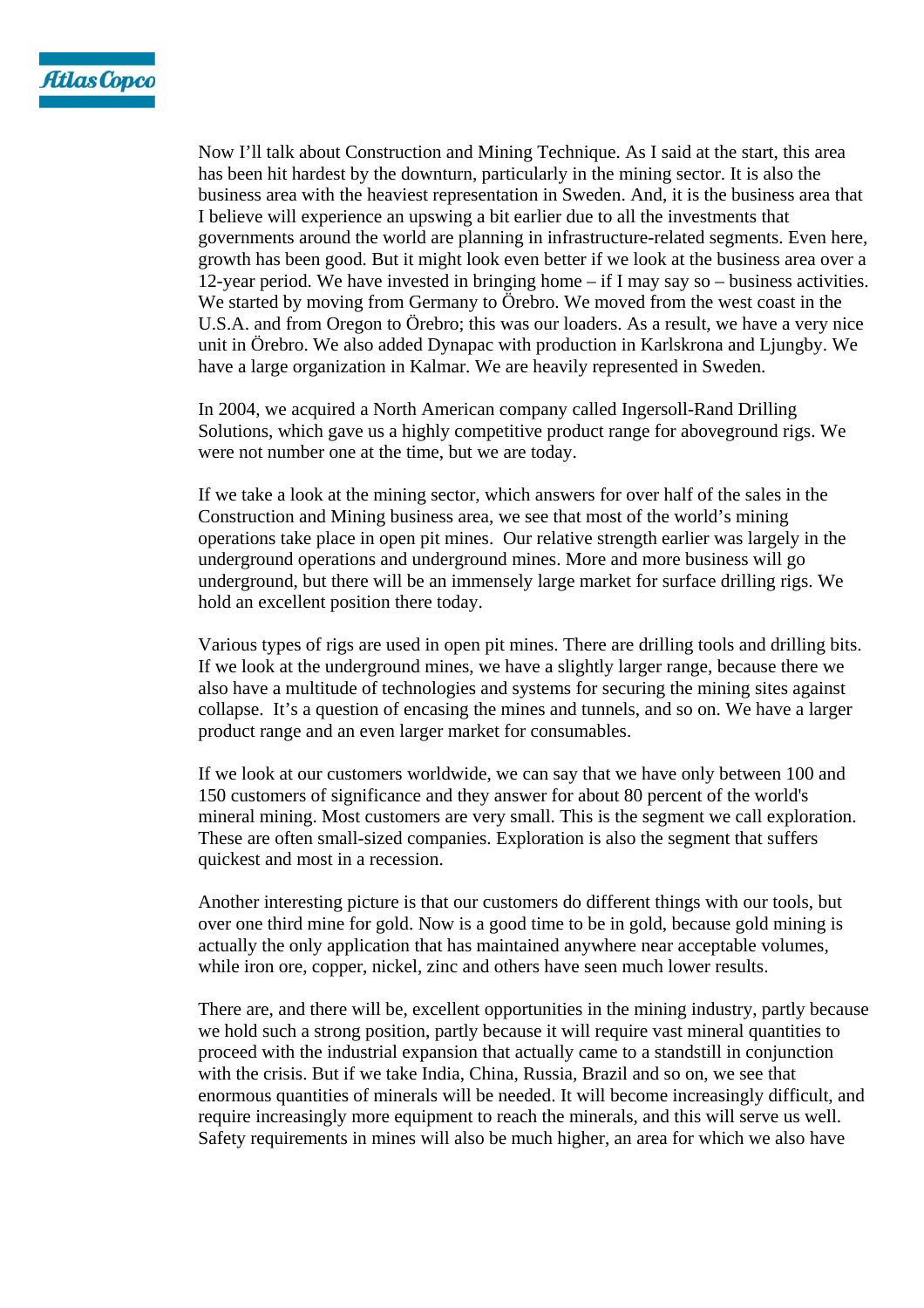

Now I'll talk about Construction and Mining Technique. As I said at the start, this area has been hit hardest by the downturn, particularly in the mining sector. It is also the business area with the heaviest representation in Sweden. And, it is the business area that I believe will experience an upswing a bit earlier due to all the investments that governments around the world are planning in infrastructure-related segments. Even here, growth has been good. But it might look even better if we look at the business area over a 12-year period. We have invested in bringing home – if I may say so – business activities. We started by moving from Germany to Örebro. We moved from the west coast in the U.S.A. and from Oregon to Örebro; this was our loaders. As a result, we have a very nice unit in Örebro. We also added Dynapac with production in Karlskrona and Ljungby. We have a large organization in Kalmar. We are heavily represented in Sweden.

In 2004, we acquired a North American company called Ingersoll-Rand Drilling Solutions, which gave us a highly competitive product range for aboveground rigs. We were not number one at the time, but we are today.

If we take a look at the mining sector, which answers for over half of the sales in the Construction and Mining business area, we see that most of the world's mining operations take place in open pit mines. Our relative strength earlier was largely in the underground operations and underground mines. More and more business will go underground, but there will be an immensely large market for surface drilling rigs. We hold an excellent position there today.

Various types of rigs are used in open pit mines. There are drilling tools and drilling bits. If we look at the underground mines, we have a slightly larger range, because there we also have a multitude of technologies and systems for securing the mining sites against collapse. It's a question of encasing the mines and tunnels, and so on. We have a larger product range and an even larger market for consumables.

If we look at our customers worldwide, we can say that we have only between 100 and 150 customers of significance and they answer for about 80 percent of the world's mineral mining. Most customers are very small. This is the segment we call exploration. These are often small-sized companies. Exploration is also the segment that suffers quickest and most in a recession.

Another interesting picture is that our customers do different things with our tools, but over one third mine for gold. Now is a good time to be in gold, because gold mining is actually the only application that has maintained anywhere near acceptable volumes, while iron ore, copper, nickel, zinc and others have seen much lower results.

There are, and there will be, excellent opportunities in the mining industry, partly because we hold such a strong position, partly because it will require vast mineral quantities to proceed with the industrial expansion that actually came to a standstill in conjunction with the crisis. But if we take India, China, Russia, Brazil and so on, we see that enormous quantities of minerals will be needed. It will become increasingly difficult, and require increasingly more equipment to reach the minerals, and this will serve us well. Safety requirements in mines will also be much higher, an area for which we also have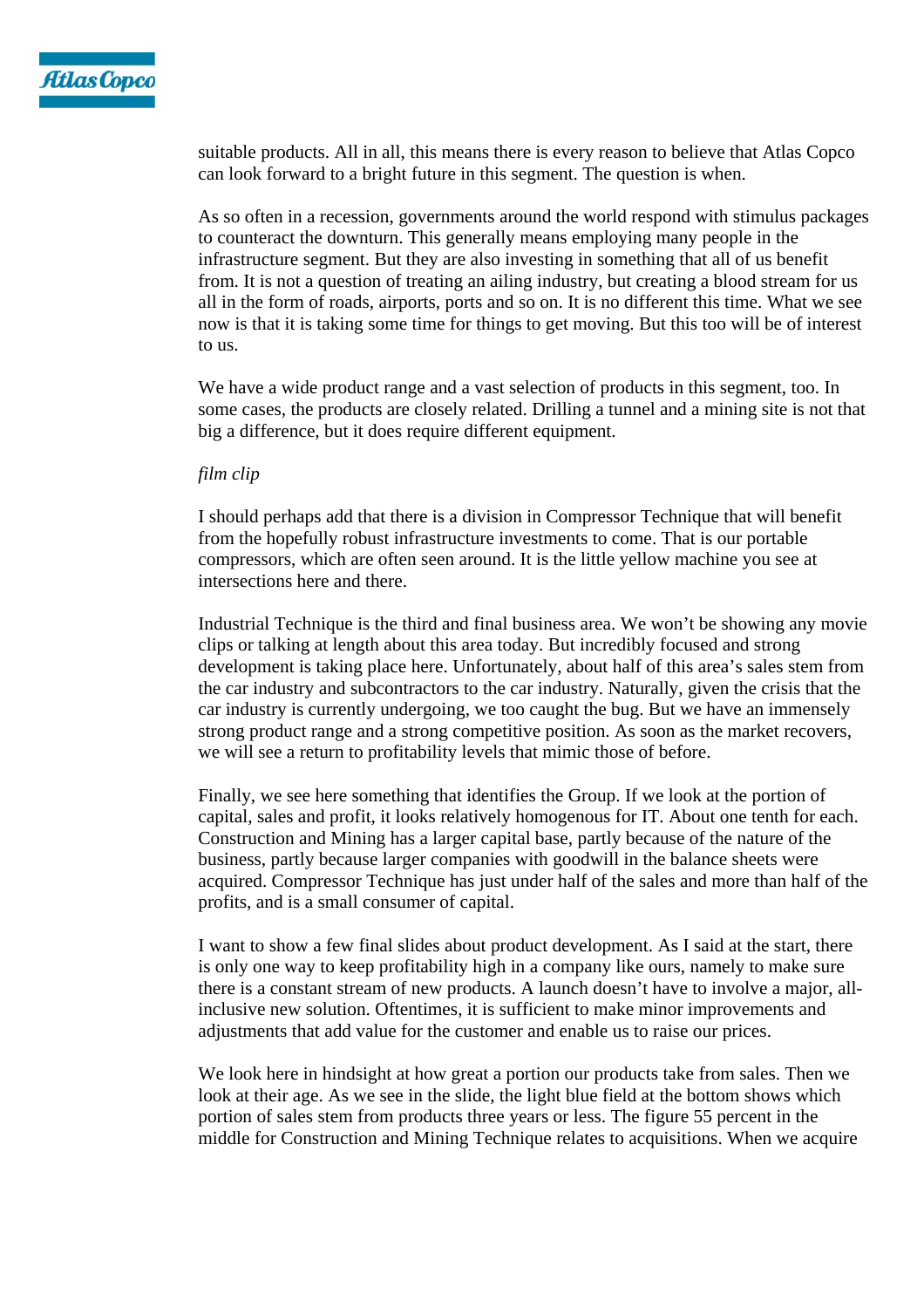

suitable products. All in all, this means there is every reason to believe that Atlas Copco can look forward to a bright future in this segment. The question is when.

As so often in a recession, governments around the world respond with stimulus packages to counteract the downturn. This generally means employing many people in the infrastructure segment. But they are also investing in something that all of us benefit from. It is not a question of treating an ailing industry, but creating a blood stream for us all in the form of roads, airports, ports and so on. It is no different this time. What we see now is that it is taking some time for things to get moving. But this too will be of interest to us.

We have a wide product range and a vast selection of products in this segment, too. In some cases, the products are closely related. Drilling a tunnel and a mining site is not that big a difference, but it does require different equipment.

## *film clip*

I should perhaps add that there is a division in Compressor Technique that will benefit from the hopefully robust infrastructure investments to come. That is our portable compressors, which are often seen around. It is the little yellow machine you see at intersections here and there.

Industrial Technique is the third and final business area. We won't be showing any movie clips or talking at length about this area today. But incredibly focused and strong development is taking place here. Unfortunately, about half of this area's sales stem from the car industry and subcontractors to the car industry. Naturally, given the crisis that the car industry is currently undergoing, we too caught the bug. But we have an immensely strong product range and a strong competitive position. As soon as the market recovers, we will see a return to profitability levels that mimic those of before.

Finally, we see here something that identifies the Group. If we look at the portion of capital, sales and profit, it looks relatively homogenous for IT. About one tenth for each. Construction and Mining has a larger capital base, partly because of the nature of the business, partly because larger companies with goodwill in the balance sheets were acquired. Compressor Technique has just under half of the sales and more than half of the profits, and is a small consumer of capital.

I want to show a few final slides about product development. As I said at the start, there is only one way to keep profitability high in a company like ours, namely to make sure there is a constant stream of new products. A launch doesn't have to involve a major, allinclusive new solution. Oftentimes, it is sufficient to make minor improvements and adjustments that add value for the customer and enable us to raise our prices.

We look here in hindsight at how great a portion our products take from sales. Then we look at their age. As we see in the slide, the light blue field at the bottom shows which portion of sales stem from products three years or less. The figure 55 percent in the middle for Construction and Mining Technique relates to acquisitions. When we acquire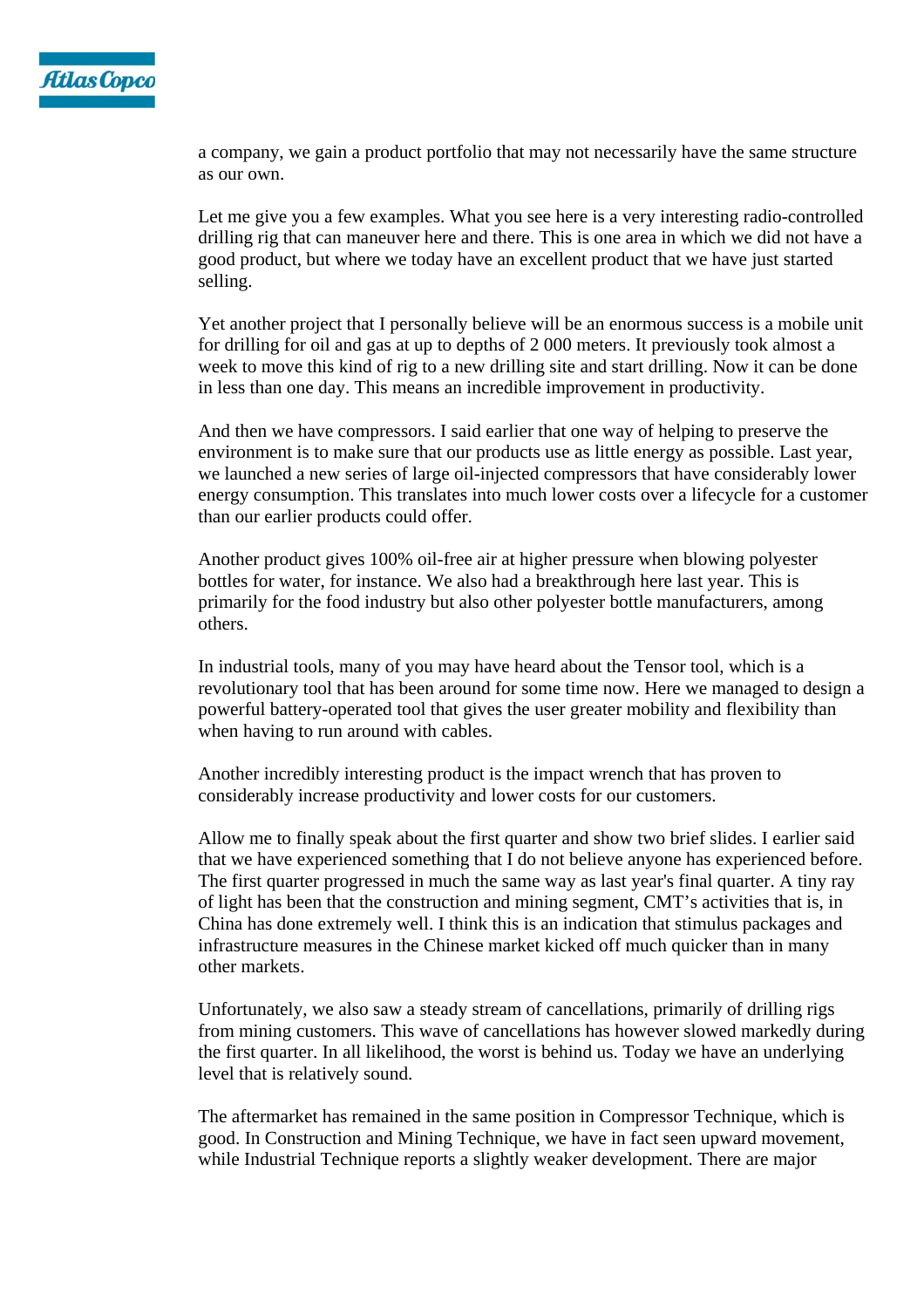

a company, we gain a product portfolio that may not necessarily have the same structure as our own.

Let me give you a few examples. What you see here is a very interesting radio-controlled drilling rig that can maneuver here and there. This is one area in which we did not have a good product, but where we today have an excellent product that we have just started selling.

Yet another project that I personally believe will be an enormous success is a mobile unit for drilling for oil and gas at up to depths of 2 000 meters. It previously took almost a week to move this kind of rig to a new drilling site and start drilling. Now it can be done in less than one day. This means an incredible improvement in productivity.

And then we have compressors. I said earlier that one way of helping to preserve the environment is to make sure that our products use as little energy as possible. Last year, we launched a new series of large oil-injected compressors that have considerably lower energy consumption. This translates into much lower costs over a lifecycle for a customer than our earlier products could offer.

Another product gives 100% oil-free air at higher pressure when blowing polyester bottles for water, for instance. We also had a breakthrough here last year. This is primarily for the food industry but also other polyester bottle manufacturers, among others.

In industrial tools, many of you may have heard about the Tensor tool, which is a revolutionary tool that has been around for some time now. Here we managed to design a powerful battery-operated tool that gives the user greater mobility and flexibility than when having to run around with cables.

Another incredibly interesting product is the impact wrench that has proven to considerably increase productivity and lower costs for our customers.

Allow me to finally speak about the first quarter and show two brief slides. I earlier said that we have experienced something that I do not believe anyone has experienced before. The first quarter progressed in much the same way as last year's final quarter. A tiny ray of light has been that the construction and mining segment, CMT's activities that is, in China has done extremely well. I think this is an indication that stimulus packages and infrastructure measures in the Chinese market kicked off much quicker than in many other markets.

Unfortunately, we also saw a steady stream of cancellations, primarily of drilling rigs from mining customers. This wave of cancellations has however slowed markedly during the first quarter. In all likelihood, the worst is behind us. Today we have an underlying level that is relatively sound.

The aftermarket has remained in the same position in Compressor Technique, which is good. In Construction and Mining Technique, we have in fact seen upward movement, while Industrial Technique reports a slightly weaker development. There are major